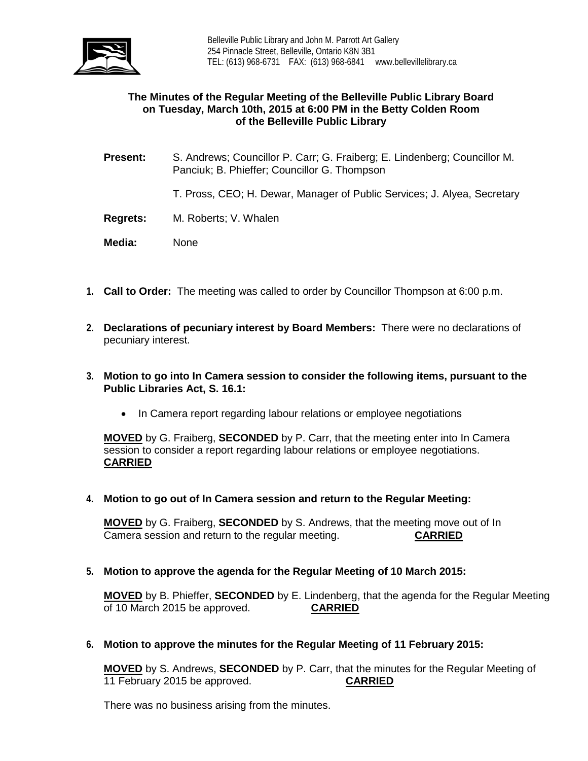

# **The Minutes of the Regular Meeting of the Belleville Public Library Board on Tuesday, March 10th, 2015 at 6:00 PM in the Betty Colden Room of the Belleville Public Library**

- **Present:** S. Andrews; Councillor P. Carr; G. Fraiberg; E. Lindenberg; Councillor M. Panciuk; B. Phieffer; Councillor G. Thompson
	- T. Pross, CEO; H. Dewar, Manager of Public Services; J. Alyea, Secretary
- **Regrets:** M. Roberts; V. Whalen
- **Media:** None
- **1. Call to Order:** The meeting was called to order by Councillor Thompson at 6:00 p.m.
- **2. Declarations of pecuniary interest by Board Members:** There were no declarations of pecuniary interest.
- **3. Motion to go into In Camera session to consider the following items, pursuant to the Public Libraries Act, S. 16.1:**
	- In Camera report regarding labour relations or employee negotiations

**MOVED** by G. Fraiberg, **SECONDED** by P. Carr, that the meeting enter into In Camera session to consider a report regarding labour relations or employee negotiations. **CARRIED**

**4. Motion to go out of In Camera session and return to the Regular Meeting:**

**MOVED** by G. Fraiberg, **SECONDED** by S. Andrews, that the meeting move out of In Camera session and return to the regular meeting. **CARRIED**

**5. Motion to approve the agenda for the Regular Meeting of 10 March 2015:**

**MOVED** by B. Phieffer, **SECONDED** by E. Lindenberg, that the agenda for the Regular Meeting of 10 March 2015 be approved. **CARRIED**

**6. Motion to approve the minutes for the Regular Meeting of 11 February 2015:**

**MOVED** by S. Andrews, **SECONDED** by P. Carr, that the minutes for the Regular Meeting of 11 February 2015 be approved.

There was no business arising from the minutes.